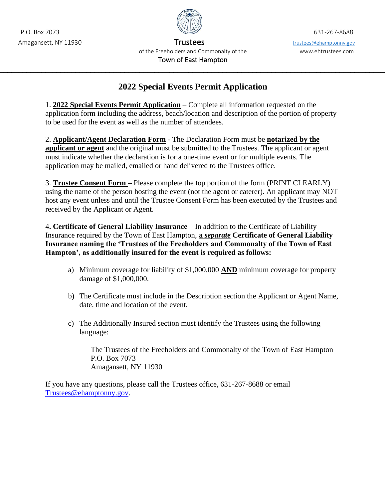

Amagansett, NY 11930 Trustees to the state of the Trustees of the trustees of trustees of trustees of the trustees of the trustees of the trustees of the trustees of the trustees of the trustees of the trustees of the trus of the Freeholders and Commonalty of the www.ehtrustees.com Town of East Hampton

## **2022 Special Events Permit Application**

 $\mathcal{L}_\text{max} = \mathcal{L}_\text{max} = \mathcal{L}_\text{max} = \mathcal{L}_\text{max} = \mathcal{L}_\text{max} = \mathcal{L}_\text{max} = \mathcal{L}_\text{max} = \mathcal{L}_\text{max} = \mathcal{L}_\text{max} = \mathcal{L}_\text{max} = \mathcal{L}_\text{max} = \mathcal{L}_\text{max} = \mathcal{L}_\text{max} = \mathcal{L}_\text{max} = \mathcal{L}_\text{max} = \mathcal{L}_\text{max} = \mathcal{L}_\text{max} = \mathcal{L}_\text{max} = \mathcal{$ 

1. **2022 Special Events Permit Application** – Complete all information requested on the application form including the address, beach/location and description of the portion of property to be used for the event as well as the number of attendees.

2. **Applicant/Agent Declaration Form** - The Declaration Form must be **notarized by the applicant or agent** and the original must be submitted to the Trustees. The applicant or agent must indicate whether the declaration is for a one-time event or for multiple events. The application may be mailed, emailed or hand delivered to the Trustees office.

3. **Trustee Consent Form –** Please complete the top portion of the form (PRINT CLEARLY) using the name of the person hosting the event (not the agent or caterer). An applicant may NOT host any event unless and until the Trustee Consent Form has been executed by the Trustees and received by the Applicant or Agent.

4**. Certificate of General Liability Insurance** – In addition to the Certificate of Liability Insurance required by the Town of East Hampton, **a** *separate* **Certificate of General Liability Insurance naming the 'Trustees of the Freeholders and Commonalty of the Town of East Hampton', as additionally insured for the event is required as follows:** 

- a) Minimum coverage for liability of \$1,000,000 **AND** minimum coverage for property damage of \$1,000,000.
- b) The Certificate must include in the Description section the Applicant or Agent Name, date, time and location of the event.
- c) The Additionally Insured section must identify the Trustees using the following language:

The Trustees of the Freeholders and Commonalty of the Town of East Hampton P.O. Box 7073 Amagansett, NY 11930

If you have any questions, please call the Trustees office, 631-267-8688 or email [Trustees@ehamptonny.gov.](mailto:atesar@ehamptonny.gov)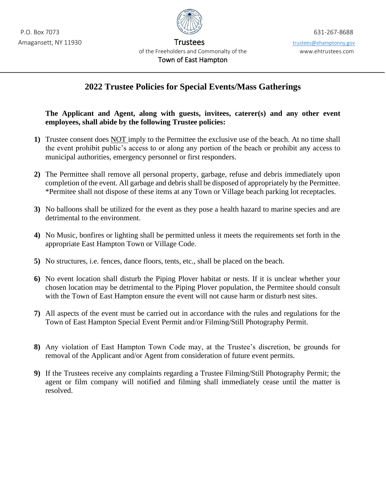

Amagansett, NY 11930 Trustees trustees trustees trustees trustees trustees openamptonny.gov of the Freeholders and Commonalty of the www.ehtrustees.com Town of East Hampton

## **2022 Trustee Policies for Special Events/Mass Gatherings**

 $\mathcal{L}_\text{max} = \mathcal{L}_\text{max} = \mathcal{L}_\text{max} = \mathcal{L}_\text{max} = \mathcal{L}_\text{max} = \mathcal{L}_\text{max} = \mathcal{L}_\text{max} = \mathcal{L}_\text{max} = \mathcal{L}_\text{max} = \mathcal{L}_\text{max} = \mathcal{L}_\text{max} = \mathcal{L}_\text{max} = \mathcal{L}_\text{max} = \mathcal{L}_\text{max} = \mathcal{L}_\text{max} = \mathcal{L}_\text{max} = \mathcal{L}_\text{max} = \mathcal{L}_\text{max} = \mathcal{$ 

**The Applicant and Agent, along with guests, invitees, caterer(s) and any other event employees, shall abide by the following Trustee policies:** 

- **1)** Trustee consent does NOT imply to the Permittee the exclusive use of the beach. At no time shall the event prohibit public's access to or along any portion of the beach or prohibit any access to municipal authorities, emergency personnel or first responders.
- **2)** The Permittee shall remove all personal property, garbage, refuse and debris immediately upon completion of the event. All garbage and debris shall be disposed of appropriately by the Permittee. \*Permitee shall not dispose of these items at any Town or Village beach parking lot receptacles.
- **3)** No balloons shall be utilized for the event as they pose a health hazard to marine species and are detrimental to the environment.
- **4)** No Music, bonfires or lighting shall be permitted unless it meets the requirements set forth in the appropriate East Hampton Town or Village Code.
- **5)** No structures, i.e. fences, dance floors, tents, etc., shall be placed on the beach.
- **6)** No event location shall disturb the Piping Plover habitat or nests. If it is unclear whether your chosen location may be detrimental to the Piping Plover population, the Permitee should consult with the Town of East Hampton ensure the event will not cause harm or disturb nest sites.
- **7)** All aspects of the event must be carried out in accordance with the rules and regulations for the Town of East Hampton Special Event Permit and/or Filming/Still Photography Permit.
- **8)** Any violation of East Hampton Town Code may, at the Trustee's discretion, be grounds for removal of the Applicant and/or Agent from consideration of future event permits.
- **9)** If the Trustees receive any complaints regarding a Trustee Filming/Still Photography Permit; the agent or film company will notified and filming shall immediately cease until the matter is resolved.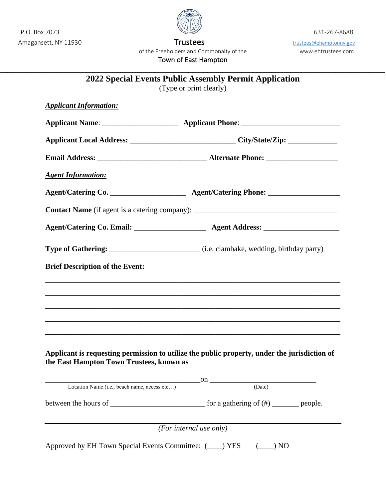P.O. Box 7073 631-267-8688

Amagansett, NY 11930 and the Control of Trustees trustees trustees of trustees of trustees of trustees of the trustees of the Trustees of the Trustees of the trustees of the trustees of the trustees of the trustees of the of the Freeholders and Commonalty of the www.ehtrustees.com Town of East Hampton

 $\mathcal{L}_\text{max} = \mathcal{L}_\text{max} = \mathcal{L}_\text{max} = \mathcal{L}_\text{max} = \mathcal{L}_\text{max} = \mathcal{L}_\text{max} = \mathcal{L}_\text{max} = \mathcal{L}_\text{max} = \mathcal{L}_\text{max} = \mathcal{L}_\text{max} = \mathcal{L}_\text{max} = \mathcal{L}_\text{max} = \mathcal{L}_\text{max} = \mathcal{L}_\text{max} = \mathcal{L}_\text{max} = \mathcal{L}_\text{max} = \mathcal{L}_\text{max} = \mathcal{L}_\text{max} = \mathcal{$ 

| <b>Applicant Information:</b>                |                                                                                                                                                                                                                                                                                                                                                                                                                |
|----------------------------------------------|----------------------------------------------------------------------------------------------------------------------------------------------------------------------------------------------------------------------------------------------------------------------------------------------------------------------------------------------------------------------------------------------------------------|
|                                              |                                                                                                                                                                                                                                                                                                                                                                                                                |
|                                              |                                                                                                                                                                                                                                                                                                                                                                                                                |
|                                              | Applicant Local Address: ________________________________City/State/Zip: ___________________________                                                                                                                                                                                                                                                                                                           |
|                                              |                                                                                                                                                                                                                                                                                                                                                                                                                |
| <b>Agent Information:</b>                    |                                                                                                                                                                                                                                                                                                                                                                                                                |
|                                              |                                                                                                                                                                                                                                                                                                                                                                                                                |
|                                              |                                                                                                                                                                                                                                                                                                                                                                                                                |
|                                              |                                                                                                                                                                                                                                                                                                                                                                                                                |
|                                              | Type of Gathering: ____________________________(i.e. clambake, wedding, birthday party)                                                                                                                                                                                                                                                                                                                        |
| <b>Brief Description of the Event:</b>       |                                                                                                                                                                                                                                                                                                                                                                                                                |
|                                              |                                                                                                                                                                                                                                                                                                                                                                                                                |
|                                              |                                                                                                                                                                                                                                                                                                                                                                                                                |
|                                              |                                                                                                                                                                                                                                                                                                                                                                                                                |
|                                              |                                                                                                                                                                                                                                                                                                                                                                                                                |
|                                              |                                                                                                                                                                                                                                                                                                                                                                                                                |
|                                              |                                                                                                                                                                                                                                                                                                                                                                                                                |
| the East Hampton Town Trustees, known as     |                                                                                                                                                                                                                                                                                                                                                                                                                |
|                                              | Applicant is requesting permission to utilize the public property, under the jurisdiction of                                                                                                                                                                                                                                                                                                                   |
| Location Name (i.e., beach name, access etc) | $\frac{1}{\text{name. } \text{access etc}}$ ON $\frac{1}{\text{base}}$                                                                                                                                                                                                                                                                                                                                         |
|                                              | between the hours of $\frac{1}{\sqrt{1-\frac{1}{\sqrt{1-\frac{1}{\sqrt{1-\frac{1}{\sqrt{1-\frac{1}{\sqrt{1-\frac{1}{\sqrt{1-\frac{1}{\sqrt{1-\frac{1}{\sqrt{1-\frac{1}{\sqrt{1-\frac{1}{\sqrt{1-\frac{1}{\sqrt{1-\frac{1}{\sqrt{1-\frac{1}{\sqrt{1-\frac{1}{\sqrt{1-\frac{1}{\sqrt{1-\frac{1}{\sqrt{1-\frac{1}{\sqrt{1-\frac{1}{\sqrt{1-\frac{1}{\sqrt{1-\frac{1}{\sqrt{1-\frac{1}{\sqrt{1-\frac{1}{\sqrt{1-\$ |

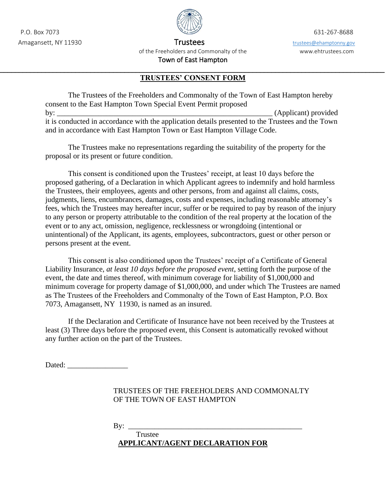

Amagansett, NY 11930 Trustees to the Trustees of the Trustees of the trustees of the trustees of the trustees of the trustees of the trustees of the trustees of the trustees of the trustees of the trustees of the trustees of the Freeholders and Commonalty of the www.ehtrustees.com Town of East Hampton

## $\mathcal{L}_\text{max} = \mathcal{L}_\text{max} = \mathcal{L}_\text{max} = \mathcal{L}_\text{max} = \mathcal{L}_\text{max} = \mathcal{L}_\text{max} = \mathcal{L}_\text{max} = \mathcal{L}_\text{max} = \mathcal{L}_\text{max} = \mathcal{L}_\text{max} = \mathcal{L}_\text{max} = \mathcal{L}_\text{max} = \mathcal{L}_\text{max} = \mathcal{L}_\text{max} = \mathcal{L}_\text{max} = \mathcal{L}_\text{max} = \mathcal{L}_\text{max} = \mathcal{L}_\text{max} = \mathcal{$ **TRUSTEES' CONSENT FORM**

The Trustees of the Freeholders and Commonalty of the Town of East Hampton hereby consent to the East Hampton Town Special Event Permit proposed by: \_\_\_\_\_\_\_\_\_\_\_\_\_\_\_\_\_\_\_\_\_\_\_\_\_\_\_\_\_\_\_\_\_\_\_\_\_\_\_\_\_\_\_\_\_\_\_\_\_\_\_\_\_\_\_\_\_ (Applicant) provided it is conducted in accordance with the application details presented to the Trustees and the Town and in accordance with East Hampton Town or East Hampton Village Code.

The Trustees make no representations regarding the suitability of the property for the proposal or its present or future condition.

This consent is conditioned upon the Trustees' receipt, at least 10 days before the proposed gathering, of a Declaration in which Applicant agrees to indemnify and hold harmless the Trustees, their employees, agents and other persons, from and against all claims, costs, judgments, liens, encumbrances, damages, costs and expenses, including reasonable attorney's fees, which the Trustees may hereafter incur, suffer or be required to pay by reason of the injury to any person or property attributable to the condition of the real property at the location of the event or to any act, omission, negligence, recklessness or wrongdoing (intentional or unintentional) of the Applicant, its agents, employees, subcontractors, guest or other person or persons present at the event.

This consent is also conditioned upon the Trustees' receipt of a Certificate of General Liability Insurance, *at least 10 days before the proposed event*, setting forth the purpose of the event, the date and times thereof, with minimum coverage for liability of \$1,000,000 and minimum coverage for property damage of \$1,000,000, and under which The Trustees are named as The Trustees of the Freeholders and Commonalty of the Town of East Hampton, P.O. Box 7073, Amagansett, NY 11930, is named as an insured.

If the Declaration and Certificate of Insurance have not been received by the Trustees at least (3) Three days before the proposed event, this Consent is automatically revoked without any further action on the part of the Trustees.

Dated:

## TRUSTEES OF THE FREEHOLDERS AND COMMONALTY OF THE TOWN OF EAST HAMPTON

By: \_\_\_\_\_\_\_\_\_\_\_\_\_\_\_\_\_\_\_\_\_\_\_\_\_\_\_\_\_\_\_\_\_\_\_\_\_\_\_\_\_\_\_\_\_\_ Trustee **APPLICANT/AGENT DECLARATION FOR**